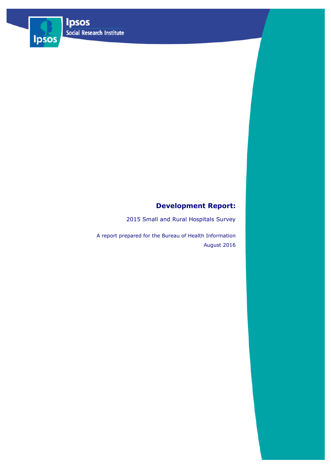Ipsos



2015 Small and Rural Hospitals Survey

A report prepared for the Bureau of Health Information August 2016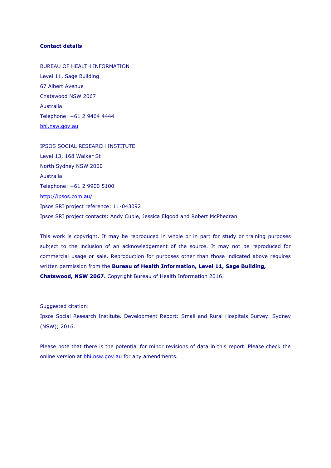## **Contact details**

BUREAU OF HEALTH INFORMATION Level 11, Sage Building 67 Albert Avenue Chatswood NSW 2067 Australia Telephone: +61 2 9464 4444 [bhi.nsw.gov.au](http://bhi.nsw.gov.au/)

IPSOS SOCIAL RESEARCH INSTITUTE Level 13, 168 Walker St North Sydney NSW 2060 Australia Telephone: +61 2 9900 5100 <http://ipsos.com.au/> Ipsos SRI project reference: 11-043092 Ipsos SRI project contacts: Andy Cubie, Jessica Elgood and Robert McPhedran

This work is copyright. It may be reproduced in whole or in part for study or training purposes subject to the inclusion of an acknowledgement of the source. It may not be reproduced for commercial usage or sale. Reproduction for purposes other than those indicated above requires written permission from the **Bureau of Health Information, Level 11, Sage Building, Chatswood, NSW 2067.** Copyright Bureau of Health Information 2016.

Suggested citation:

Ipsos Social Research Institute. Development Report: Small and Rural Hospitals Survey. Sydney (NSW); 2016.

Please note that there is the potential for minor revisions of data in this report. Please check the online version at **bhi.nsw.gov.au** for any amendments.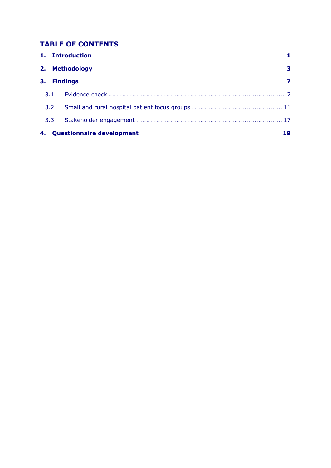# **TABLE OF CONTENTS**

|                                        |     | 1. Introduction |   |
|----------------------------------------|-----|-----------------|---|
|                                        |     | 2. Methodology  | 3 |
| 3.                                     |     | <b>Findings</b> |   |
| 3.1                                    |     |                 |   |
|                                        | 3.2 |                 |   |
| 3.3                                    |     |                 |   |
| <b>Questionnaire development</b><br>4. |     |                 |   |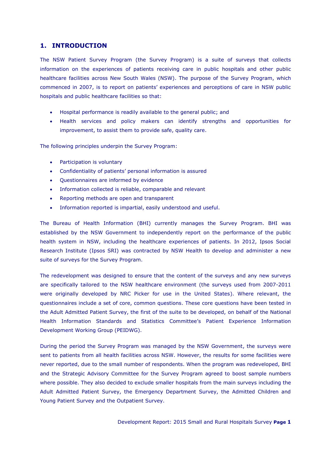## <span id="page-3-0"></span>**1. INTRODUCTION**

The NSW Patient Survey Program (the Survey Program) is a suite of surveys that collects information on the experiences of patients receiving care in public hospitals and other public healthcare facilities across New South Wales (NSW). The purpose of the Survey Program, which commenced in 2007, is to report on patients' experiences and perceptions of care in NSW public hospitals and public healthcare facilities so that:

- Hospital performance is readily available to the general public; and
- Health services and policy makers can identify strengths and opportunities for improvement, to assist them to provide safe, quality care.

The following principles underpin the Survey Program:

- Participation is voluntary
- Confidentiality of patients' personal information is assured
- Questionnaires are informed by evidence
- Information collected is reliable, comparable and relevant
- Reporting methods are open and transparent
- Information reported is impartial, easily understood and useful.

The Bureau of Health Information (BHI) currently manages the Survey Program. BHI was established by the NSW Government to independently report on the performance of the public health system in NSW, including the healthcare experiences of patients. In 2012, Ipsos Social Research Institute (Ipsos SRI) was contracted by NSW Health to develop and administer a new suite of surveys for the Survey Program.

The redevelopment was designed to ensure that the content of the surveys and any new surveys are specifically tailored to the NSW healthcare environment (the surveys used from 2007-2011 were originally developed by NRC Picker for use in the United States). Where relevant, the questionnaires include a set of core, common questions. These core questions have been tested in the Adult Admitted Patient Survey, the first of the suite to be developed, on behalf of the National Health Information Standards and Statistics Committee's Patient Experience Information Development Working Group (PEIDWG).

During the period the Survey Program was managed by the NSW Government, the surveys were sent to patients from all health facilities across NSW. However, the results for some facilities were never reported, due to the small number of respondents. When the program was redeveloped, BHI and the Strategic Advisory Committee for the Survey Program agreed to boost sample numbers where possible. They also decided to exclude smaller hospitals from the main surveys including the Adult Admitted Patient Survey, the Emergency Department Survey, the Admitted Children and Young Patient Survey and the Outpatient Survey.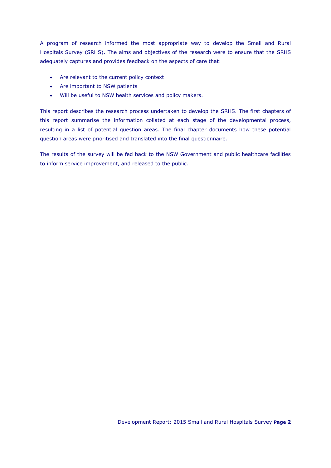A program of research informed the most appropriate way to develop the Small and Rural Hospitals Survey (SRHS). The aims and objectives of the research were to ensure that the SRHS adequately captures and provides feedback on the aspects of care that:

- Are relevant to the current policy context
- Are important to NSW patients
- Will be useful to NSW health services and policy makers.

This report describes the research process undertaken to develop the SRHS. The first chapters of this report summarise the information collated at each stage of the developmental process, resulting in a list of potential question areas. The final chapter documents how these potential question areas were prioritised and translated into the final questionnaire.

The results of the survey will be fed back to the NSW Government and public healthcare facilities to inform service improvement, and released to the public.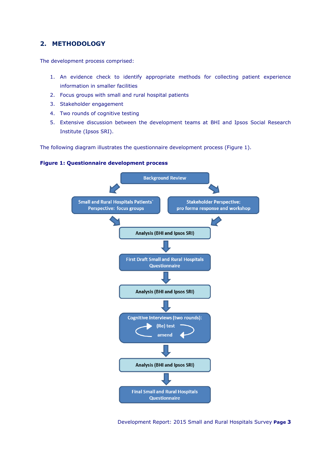## <span id="page-5-0"></span>**2. METHODOLOGY**

The development process comprised:

- 1. An evidence check to identify appropriate methods for collecting patient experience information in smaller facilities
- 2. Focus groups with small and rural hospital patients
- 3. Stakeholder engagement
- 4. Two rounds of cognitive testing
- 5. Extensive discussion between the development teams at BHI and Ipsos Social Research Institute (Ipsos SRI).

The following diagram illustrates the questionnaire development process (Figure 1).

## **Figure 1: Questionnaire development process**

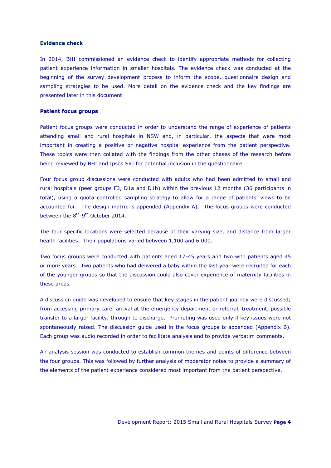#### **Evidence check**

In 2014, BHI commissioned an evidence check to identify appropriate methods for collecting patient experience information in smaller hospitals. The evidence check was conducted at the beginning of the survey development process to inform the scope, questionnaire design and sampling strategies to be used. More detail on the evidence check and the key findings are presented later in this document.

#### **Patient focus groups**

Patient focus groups were conducted in order to understand the range of experience of patients attending small and rural hospitals in NSW and, in particular, the aspects that were most important in creating a positive or negative hospital experience from the patient perspective. These topics were then collated with the findings from the other phases of the research before being reviewed by BHI and Ipsos SRI for potential inclusion in the questionnaire.

Four focus group discussions were conducted with adults who had been admitted to small and rural hospitals (peer groups F3, D1a and D1b) within the previous 12 months (36 participants in total), using a quota controlled sampling strategy to allow for a range of patients' views to be accounted for. The design matrix is appended (Appendix A). The focus groups were conducted between the 8<sup>th</sup>-9<sup>th</sup> October 2014.

The four specific locations were selected because of their varying size, and distance from larger health facilities. Their populations varied between 1,100 and 6,000.

Two focus groups were conducted with patients aged 17-45 years and two with patients aged 45 or more years. Two patients who had delivered a baby within the last year were recruited for each of the younger groups so that the discussion could also cover experience of maternity facilities in these areas.

A discussion guide was developed to ensure that key stages in the patient journey were discussed; from accessing primary care, arrival at the emergency department or referral, treatment, possible transfer to a larger facility, through to discharge. Prompting was used only if key issues were not spontaneously raised. The discussion guide used in the focus groups is appended (Appendix B). Each group was audio recorded in order to facilitate analysis and to provide verbatim comments.

An analysis session was conducted to establish common themes and points of difference between the four groups. This was followed by further analysis of moderator notes to provide a summary of the elements of the patient experience considered most important from the patient perspective.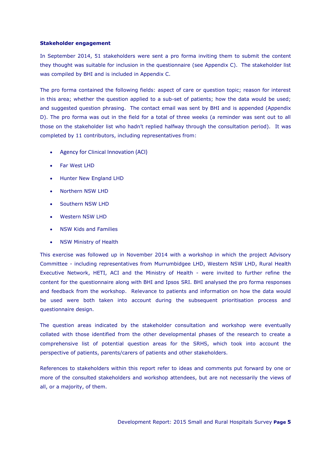#### **Stakeholder engagement**

In September 2014, 51 stakeholders were sent a pro forma inviting them to submit the content they thought was suitable for inclusion in the questionnaire (see Appendix C). The stakeholder list was compiled by BHI and is included in Appendix C.

The pro forma contained the following fields: aspect of care or question topic; reason for interest in this area; whether the question applied to a sub-set of patients; how the data would be used; and suggested question phrasing. The contact email was sent by BHI and is appended (Appendix D). The pro forma was out in the field for a total of three weeks (a reminder was sent out to all those on the stakeholder list who hadn't replied halfway through the consultation period). It was completed by 11 contributors, including representatives from:

- Agency for Clinical Innovation (ACI)
- Far West LHD
- Hunter New England LHD
- Northern NSW LHD
- Southern NSW LHD
- Western NSW LHD
- NSW Kids and Families
- NSW Ministry of Health

This exercise was followed up in November 2014 with a workshop in which the project Advisory Committee - including representatives from Murrumbidgee LHD, Western NSW LHD, Rural Health Executive Network, HETI, ACI and the Ministry of Health - were invited to further refine the content for the questionnaire along with BHI and Ipsos SRI. BHI analysed the pro forma responses and feedback from the workshop. Relevance to patients and information on how the data would be used were both taken into account during the subsequent prioritisation process and questionnaire design.

The question areas indicated by the stakeholder consultation and workshop were eventually collated with those identified from the other developmental phases of the research to create a comprehensive list of potential question areas for the SRHS, which took into account the perspective of patients, parents/carers of patients and other stakeholders.

References to stakeholders within this report refer to ideas and comments put forward by one or more of the consulted stakeholders and workshop attendees, but are not necessarily the views of all, or a majority, of them.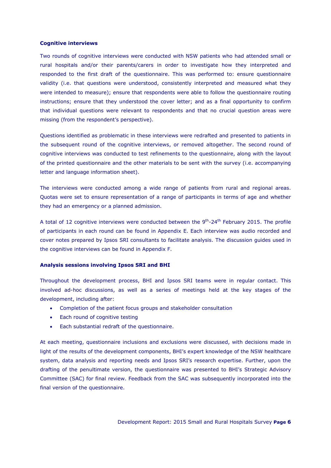#### **Cognitive interviews**

Two rounds of cognitive interviews were conducted with NSW patients who had attended small or rural hospitals and/or their parents/carers in order to investigate how they interpreted and responded to the first draft of the questionnaire. This was performed to: ensure questionnaire validity (i.e. that questions were understood, consistently interpreted and measured what they were intended to measure); ensure that respondents were able to follow the questionnaire routing instructions; ensure that they understood the cover letter; and as a final opportunity to confirm that individual questions were relevant to respondents and that no crucial question areas were missing (from the respondent's perspective).

Questions identified as problematic in these interviews were redrafted and presented to patients in the subsequent round of the cognitive interviews, or removed altogether. The second round of cognitive interviews was conducted to test refinements to the questionnaire, along with the layout of the printed questionnaire and the other materials to be sent with the survey (i.e. accompanying letter and language information sheet).

The interviews were conducted among a wide range of patients from rural and regional areas. Quotas were set to ensure representation of a range of participants in terms of age and whether they had an emergency or a planned admission.

A total of 12 cognitive interviews were conducted between the  $9^{th}$ -24<sup>th</sup> February 2015. The profile of participants in each round can be found in Appendix E. Each interview was audio recorded and cover notes prepared by Ipsos SRI consultants to facilitate analysis. The discussion guides used in the cognitive interviews can be found in Appendix F.

#### **Analysis sessions involving Ipsos SRI and BHI**

Throughout the development process, BHI and Ipsos SRI teams were in regular contact. This involved ad-hoc discussions, as well as a series of meetings held at the key stages of the development, including after:

- Completion of the patient focus groups and stakeholder consultation
- Each round of cognitive testing
- Each substantial redraft of the questionnaire.

At each meeting, questionnaire inclusions and exclusions were discussed, with decisions made in light of the results of the development components, BHI's expert knowledge of the NSW healthcare system, data analysis and reporting needs and Ipsos SRI's research expertise. Further, upon the drafting of the penultimate version, the questionnaire was presented to BHI's Strategic Advisory Committee (SAC) for final review. Feedback from the SAC was subsequently incorporated into the final version of the questionnaire.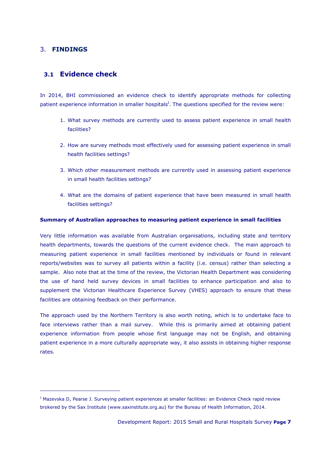## <span id="page-9-1"></span><span id="page-9-0"></span>3. **FINDINGS**

-

## **3.1 Evidence check**

In 2014, BHI commissioned an evidence check to identify appropriate methods for collecting patient experience information in smaller hospitals<sup>I</sup>. The questions specified for the review were:

- 1. What survey methods are currently used to assess patient experience in small health facilities?
- 2. How are survey methods most effectively used for assessing patient experience in small health facilities settings?
- 3. Which other measurement methods are currently used in assessing patient experience in small health facilities settings?
- 4. What are the domains of patient experience that have been measured in small health facilities settings?

### **Summary of Australian approaches to measuring patient experience in small facilities**

Very little information was available from Australian organisations, including state and territory health departments, towards the questions of the current evidence check. The main approach to measuring patient experience in small facilities mentioned by individuals or found in relevant reports/websites was to survey all patients within a facility (i.e. census) rather than selecting a sample. Also note that at the time of the review, the Victorian Health Department was considering the use of hand held survey devices in small facilities to enhance participation and also to supplement the Victorian Healthcare Experience Survey (VHES) approach to ensure that these facilities are obtaining feedback on their performance.

The approach used by the Northern Territory is also worth noting, which is to undertake face to face interviews rather than a mail survey. While this is primarily aimed at obtaining patient experience information from people whose first language may not be English, and obtaining patient experience in a more culturally appropriate way, it also assists in obtaining higher response rates.

<sup>&</sup>lt;sup>I</sup> Mazevska D, Pearse J. Surveying patient experiences at smaller facilities: an Evidence Check rapid review brokered by the Sax Institute (www.saxinstitute.org.au) for the Bureau of Health Information, 2014.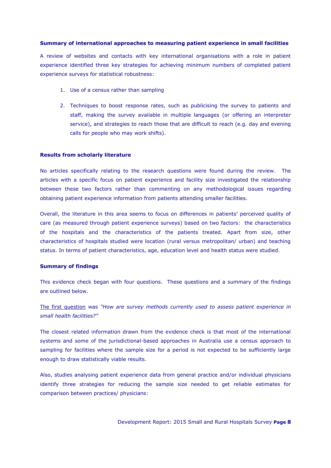### **Summary of international approaches to measuring patient experience in small facilities**

A review of websites and contacts with key international organisations with a role in patient experience identified three key strategies for achieving minimum numbers of completed patient experience surveys for statistical robustness:

- 1. Use of a census rather than sampling
- 2. Techniques to boost response rates, such as publicising the survey to patients and staff, making the survey available in multiple languages (or offering an interpreter service), and strategies to reach those that are difficult to reach (e.g. day and evening calls for people who may work shifts).

#### **Results from scholarly literature**

No articles specifically relating to the research questions were found during the review. The articles with a specific focus on patient experience and facility size investigated the relationship between these two factors rather than commenting on any methodological issues regarding obtaining patient experience information from patients attending smaller facilities.

Overall, the literature in this area seems to focus on differences in patients' perceived quality of care (as measured through patient experience surveys) based on two factors: the characteristics of the hospitals and the characteristics of the patients treated. Apart from size, other characteristics of hospitals studied were location (rural versus metropolitan/ urban) and teaching status. In terms of patient characteristics, age, education level and health status were studied.

#### **Summary of findings**

This evidence check began with four questions. These questions and a summary of the findings are outlined below.

The first question was *"How are survey methods currently used to assess patient experience in small health facilities?"*

The closest related information drawn from the evidence check is that most of the international systems and some of the jurisdictional-based approaches in Australia use a census approach to sampling for facilities where the sample size for a period is not expected to be sufficiently large enough to draw statistically viable results.

Also, studies analysing patient experience data from general practice and/or individual physicians identify three strategies for reducing the sample size needed to get reliable estimates for comparison between practices/ physicians: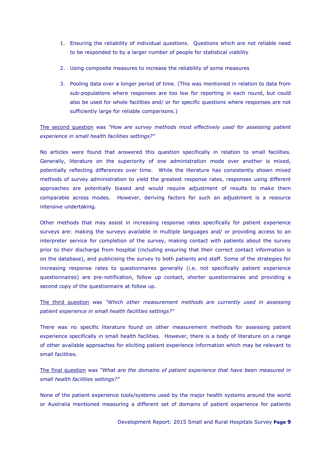- 1. Ensuring the reliability of individual questions. Questions which are not reliable need to be responded to by a larger number of people for statistical viability
- 2. Using composite measures to increase the reliability of some measures
- 3. Pooling data over a longer period of time. (This was mentioned in relation to data from sub-populations where responses are too low for reporting in each round, but could also be used for whole facilities and/ or for specific questions where responses are not sufficiently large for reliable comparisons.)

The second question was *"How are survey methods most effectively used for assessing patient experience in small health facilities settings?"*

No articles were found that answered this question specifically in relation to small facilities. Generally, literature on the superiority of one administration mode over another is mixed, potentially reflecting differences over time. While the literature has consistently shown mixed methods of survey administration to yield the greatest response rates, responses using different approaches are potentially biased and would require adjustment of results to make them comparable across modes. However, deriving factors for such an adjustment is a resource intensive undertaking.

Other methods that may assist in increasing response rates specifically for patient experience surveys are: making the surveys available in multiple languages and/ or providing access to an interpreter service for completion of the survey, making contact with patients about the survey prior to their discharge from hospital (including ensuring that their correct contact information is on the database), and publicising the survey to both patients and staff. Some of the strategies for increasing response rates to questionnaires generally (i.e. not specifically patient experience questionnaires) are pre-notification, follow up contact, shorter questionnaires and providing a second copy of the questionnaire at follow up.

The third question was *"Which other measurement methods are currently used in assessing patient experience in small health facilities settings?"*

There was no specific literature found on other measurement methods for assessing patient experience specifically in small health facilities. However, there is a body of literature on a range of other available approaches for eliciting patient experience information which may be relevant to small facilities.

The final question was *"What are the domains of patient experience that have been measured in small health facilities settings?"*

None of the patient experience tools/systems used by the major health systems around the world or Australia mentioned measuring a different set of domains of patient experience for patients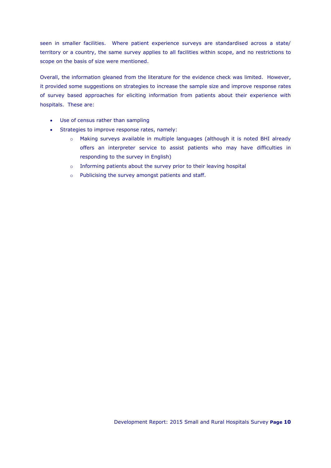seen in smaller facilities. Where patient experience surveys are standardised across a state/ territory or a country, the same survey applies to all facilities within scope, and no restrictions to scope on the basis of size were mentioned.

Overall, the information gleaned from the literature for the evidence check was limited. However, it provided some suggestions on strategies to increase the sample size and improve response rates of survey based approaches for eliciting information from patients about their experience with hospitals. These are:

- Use of census rather than sampling
- Strategies to improve response rates, namely:
	- o Making surveys available in multiple languages (although it is noted BHI already offers an interpreter service to assist patients who may have difficulties in responding to the survey in English)
	- o Informing patients about the survey prior to their leaving hospital
	- o Publicising the survey amongst patients and staff.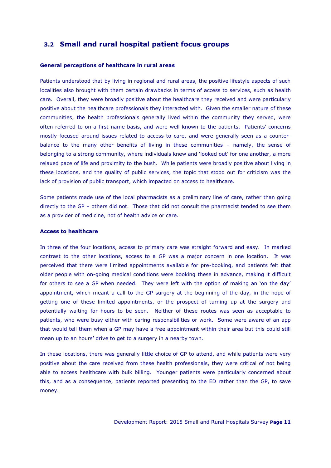## <span id="page-13-0"></span>**3.2 Small and rural hospital patient focus groups**

#### **General perceptions of healthcare in rural areas**

Patients understood that by living in regional and rural areas, the positive lifestyle aspects of such localities also brought with them certain drawbacks in terms of access to services, such as health care. Overall, they were broadly positive about the healthcare they received and were particularly positive about the healthcare professionals they interacted with. Given the smaller nature of these communities, the health professionals generally lived within the community they served, were often referred to on a first name basis, and were well known to the patients. Patients' concerns mostly focused around issues related to access to care, and were generally seen as a counterbalance to the many other benefits of living in these communities – namely, the sense of belonging to a strong community, where individuals knew and 'looked out' for one another, a more relaxed pace of life and proximity to the bush. While patients were broadly positive about living in these locations, and the quality of public services, the topic that stood out for criticism was the lack of provision of public transport, which impacted on access to healthcare.

Some patients made use of the local pharmacists as a preliminary line of care, rather than going directly to the GP – others did not. Those that did not consult the pharmacist tended to see them as a provider of medicine, not of health advice or care.

#### **Access to healthcare**

In three of the four locations, access to primary care was straight forward and easy. In marked contrast to the other locations, access to a GP was a major concern in one location. It was perceived that there were limited appointments available for pre-booking, and patients felt that older people with on-going medical conditions were booking these in advance, making it difficult for others to see a GP when needed. They were left with the option of making an 'on the day' appointment, which meant a call to the GP surgery at the beginning of the day, in the hope of getting one of these limited appointments, or the prospect of turning up at the surgery and potentially waiting for hours to be seen. Neither of these routes was seen as acceptable to patients, who were busy either with caring responsibilities or work. Some were aware of an app that would tell them when a GP may have a free appointment within their area but this could still mean up to an hours' drive to get to a surgery in a nearby town.

In these locations, there was generally little choice of GP to attend, and while patients were very positive about the care received from these health professionals, they were critical of not being able to access healthcare with bulk billing. Younger patients were particularly concerned about this, and as a consequence, patients reported presenting to the ED rather than the GP, to save money.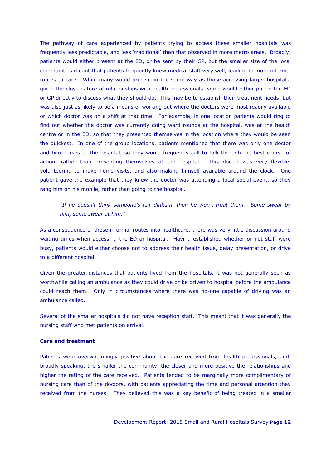The pathway of care experienced by patients trying to access these smaller hospitals was frequently less predictable, and less 'traditional' than that observed in more metro areas. Broadly, patients would either present at the ED, or be sent by their GP, but the smaller size of the local communities meant that patients frequently knew medical staff very well, leading to more informal routes to care. While many would present in the same way as those accessing larger hospitals, given the close nature of relationships with health professionals, some would either phone the ED or GP directly to discuss what they should do. This may be to establish their treatment needs, but was also just as likely to be a means of working out where the doctors were most readily available or which doctor was on a shift at that time. For example, in one location patients would ring to find out whether the doctor was currently doing ward rounds at the hospital, was at the health centre or in the ED, so that they presented themselves in the location where they would be seen the quickest. In one of the group locations, patients mentioned that there was only one doctor and two nurses at the hospital, so they would frequently call to talk through the best course of action, rather than presenting themselves at the hospital. This doctor was very flexible, volunteering to make home visits, and also making himself available around the clock. One patient gave the example that they knew the doctor was attending a local social event, so they rang him on his mobile, rather than going to the hospital.

*"If he doesn't think someone's fair dinkum, then he won't treat them. Some swear by him, some swear at him."*

As a consequence of these informal routes into healthcare, there was very little discussion around waiting times when accessing the ED or hospital. Having established whether or not staff were busy, patients would either choose not to address their health issue, delay presentation, or drive to a different hospital.

Given the greater distances that patients lived from the hospitals, it was not generally seen as worthwhile calling an ambulance as they could drive or be driven to hospital before the ambulance could reach them. Only in circumstances where there was no-one capable of driving was an ambulance called.

Several of the smaller hospitals did not have reception staff. This meant that it was generally the nursing staff who met patients on arrival.

### **Care and treatment**

Patients were overwhelmingly positive about the care received from health professionals, and, broadly speaking, the smaller the community, the closer and more positive the relationships and higher the rating of the care received. Patients tended to be marginally more complimentary of nursing care than of the doctors, with patients appreciating the time and personal attention they received from the nurses. They believed this was a key benefit of being treated in a smaller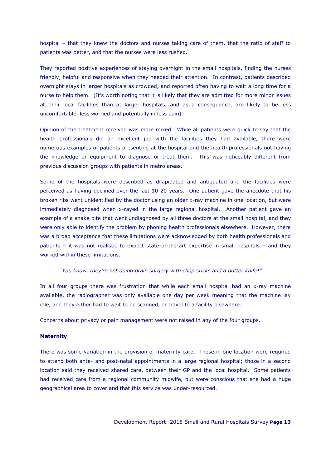hospital – that they knew the doctors and nurses taking care of them, that the ratio of staff to patients was better, and that the nurses were less rushed.

They reported positive experiences of staying overnight in the small hospitals, finding the nurses friendly, helpful and responsive when they needed their attention. In contrast, patients described overnight stays in larger hospitals as crowded, and reported often having to wait a long time for a nurse to help them. (It's worth noting that it is likely that they are admitted for more minor issues at their local facilities than at larger hospitals, and as a consequence, are likely to be less uncomfortable, less worried and potentially in less pain).

Opinion of the treatment received was more mixed. While all patients were quick to say that the health professionals did an excellent job with the facilities they had available, there were numerous examples of patients presenting at the hospital and the health professionals not having the knowledge or equipment to diagnose or treat them. This was noticeably different from previous discussion groups with patients in metro areas.

Some of the hospitals were described as dilapidated and antiquated and the facilities were perceived as having declined over the last 10-20 years. One patient gave the anecdote that his broken ribs went unidentified by the doctor using an older x-ray machine in one location, but were immediately diagnosed when x-rayed in the large regional hospital. Another patient gave an example of a snake bite that went undiagnosed by all three doctors at the small hospital, and they were only able to identify the problem by phoning health professionals elsewhere. However, there was a broad acceptance that these limitations were acknowledged by both health professionals and patients – it was not realistic to expect state-of-the-art expertise in small hospitals – and they worked within these limitations.

#### *"You know, they're not doing brain surgery with chop sticks and a butter knife!"*

In all four groups there was frustration that while each small hospital had an x-ray machine available, the radiographer was only available one day per week meaning that the machine lay idle, and they either had to wait to be scanned, or travel to a facility elsewhere.

Concerns about privacy or pain management were not raised in any of the four groups.

#### **Maternity**

There was some variation in the provision of maternity care. Those in one location were required to attend both ante- and post-natal appointments in a large regional hospital; those in a second location said they received shared care, between their GP and the local hospital. Some patients had received care from a regional community midwife, but were conscious that she had a huge geographical area to cover and that this service was under-resourced.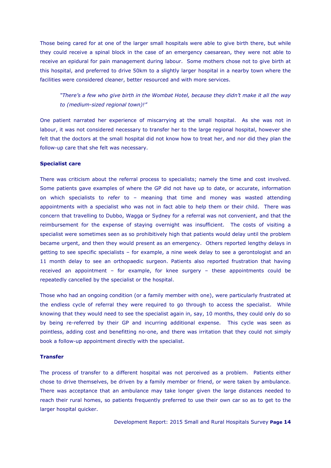Those being cared for at one of the larger small hospitals were able to give birth there, but while they could receive a spinal block in the case of an emergency caesarean, they were not able to receive an epidural for pain management during labour. Some mothers chose not to give birth at this hospital, and preferred to drive 50km to a slightly larger hospital in a nearby town where the facilities were considered cleaner, better resourced and with more services.

*"There's a few who give birth in the Wombat Hotel, because they didn't make it all the way to (medium-sized regional town)!"*

One patient narrated her experience of miscarrying at the small hospital. As she was not in labour, it was not considered necessary to transfer her to the large regional hospital, however she felt that the doctors at the small hospital did not know how to treat her, and nor did they plan the follow-up care that she felt was necessary.

#### **Specialist care**

There was criticism about the referral process to specialists; namely the time and cost involved. Some patients gave examples of where the GP did not have up to date, or accurate, information on which specialists to refer to – meaning that time and money was wasted attending appointments with a specialist who was not in fact able to help them or their child. There was concern that travelling to Dubbo, Wagga or Sydney for a referral was not convenient, and that the reimbursement for the expense of staying overnight was insufficient. The costs of visiting a specialist were sometimes seen as so prohibitively high that patients would delay until the problem became urgent, and then they would present as an emergency. Others reported lengthy delays in getting to see specific specialists – for example, a nine week delay to see a gerontologist and an 11 month delay to see an orthopaedic surgeon. Patients also reported frustration that having received an appointment – for example, for knee surgery – these appointments could be repeatedly cancelled by the specialist or the hospital.

Those who had an ongoing condition (or a family member with one), were particularly frustrated at the endless cycle of referral they were required to go through to access the specialist. While knowing that they would need to see the specialist again in, say, 10 months, they could only do so by being re-referred by their GP and incurring additional expense. This cycle was seen as pointless, adding cost and benefitting no-one, and there was irritation that they could not simply book a follow-up appointment directly with the specialist.

#### **Transfer**

The process of transfer to a different hospital was not perceived as a problem. Patients either chose to drive themselves, be driven by a family member or friend, or were taken by ambulance. There was acceptance that an ambulance may take longer given the large distances needed to reach their rural homes, so patients frequently preferred to use their own car so as to get to the larger hospital quicker.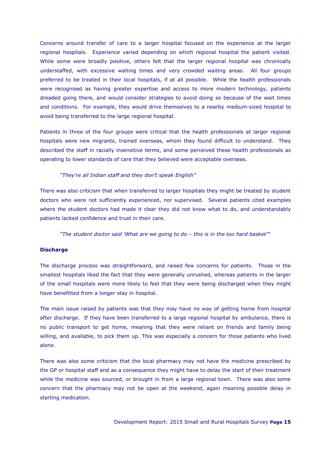Concerns around transfer of care to a larger hospital focused on the experience at the larger regional hospitals. Experience varied depending on which regional hospital the patient visited. While some were broadly positive, others felt that the larger regional hospital was chronically understaffed, with excessive waiting times and very crowded waiting areas. All four groups preferred to be treated in their local hospitals, if at all possible. While the health professionals were recognised as having greater expertise and access to more modern technology, patients dreaded going there, and would consider strategies to avoid doing so because of the wait times and conditions. For example, they would drive themselves to a nearby medium-sized hospital to avoid being transferred to the large regional hospital.

Patients in three of the four groups were critical that the health professionals at larger regional hospitals were new migrants, trained overseas, whom they found difficult to understand. They described the staff in racially insensitive terms, and some perceived these health professionals as operating to lower standards of care that they believed were acceptable overseas.

#### *"They're all Indian staff and they don't speak English"*

There was also criticism that when transferred to larger hospitals they might be treated by student doctors who were not sufficiently experienced, nor supervised. Several patients cited examples where the student doctors had made it clear they did not know what to do, and understandably patients lacked confidence and trust in their care.

*"The student doctor said 'What are we going to do – this is in the too hard basket'"*

#### **Discharge**

The discharge process was straightforward, and raised few concerns for patients. Those in the smallest hospitals liked the fact that they were generally unrushed, whereas patients in the larger of the small hospitals were more likely to feel that they were being discharged when they might have benefitted from a longer stay in hospital.

The main issue raised by patients was that they may have no way of getting home from hospital after discharge. If they have been transferred to a large regional hospital by ambulance, there is no public transport to get home, meaning that they were reliant on friends and family being willing, and available, to pick them up. This was especially a concern for those patients who lived alone.

There was also some criticism that the local pharmacy may not have the medicine prescribed by the GP or hospital staff and as a consequence they might have to delay the start of their treatment while the medicine was sourced, or brought in from a large regional town. There was also some concern that the pharmacy may not be open at the weekend, again meaning possible delay in starting medication.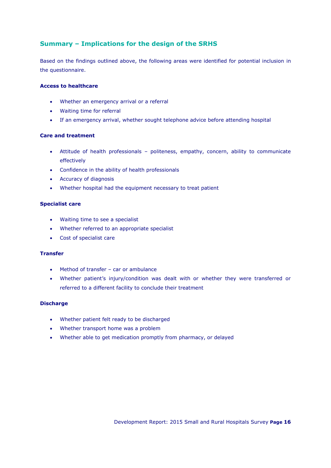## **Summary – Implications for the design of the SRHS**

Based on the findings outlined above, the following areas were identified for potential inclusion in the questionnaire.

### **Access to healthcare**

- Whether an emergency arrival or a referral
- Waiting time for referral
- If an emergency arrival, whether sought telephone advice before attending hospital

### **Care and treatment**

- Attitude of health professionals politeness, empathy, concern, ability to communicate effectively
- Confidence in the ability of health professionals
- Accuracy of diagnosis
- Whether hospital had the equipment necessary to treat patient

### **Specialist care**

- Waiting time to see a specialist
- Whether referred to an appropriate specialist
- Cost of specialist care

## **Transfer**

- Method of transfer car or ambulance
- Whether patient's injury/condition was dealt with or whether they were transferred or referred to a different facility to conclude their treatment

### **Discharge**

- Whether patient felt ready to be discharged
- Whether transport home was a problem
- Whether able to get medication promptly from pharmacy, or delayed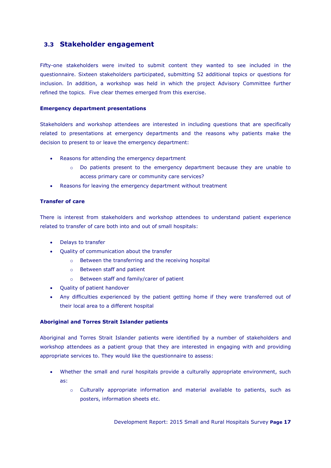## <span id="page-19-0"></span>**3.3 Stakeholder engagement**

Fifty-one stakeholders were invited to submit content they wanted to see included in the questionnaire. Sixteen stakeholders participated, submitting 52 additional topics or questions for inclusion. In addition, a workshop was held in which the project Advisory Committee further refined the topics. Five clear themes emerged from this exercise.

### **Emergency department presentations**

Stakeholders and workshop attendees are interested in including questions that are specifically related to presentations at emergency departments and the reasons why patients make the decision to present to or leave the emergency department:

- Reasons for attending the emergency department
	- o Do patients present to the emergency department because they are unable to access primary care or community care services?
- Reasons for leaving the emergency department without treatment

## **Transfer of care**

There is interest from stakeholders and workshop attendees to understand patient experience related to transfer of care both into and out of small hospitals:

- Delays to transfer
- Quality of communication about the transfer
	- o Between the transferring and the receiving hospital
	- o Between staff and patient
	- o Between staff and family/carer of patient
- Quality of patient handover
- Any difficulties experienced by the patient getting home if they were transferred out of their local area to a different hospital

## **Aboriginal and Torres Strait Islander patients**

Aboriginal and Torres Strait Islander patients were identified by a number of stakeholders and workshop attendees as a patient group that they are interested in engaging with and providing appropriate services to. They would like the questionnaire to assess:

- Whether the small and rural hospitals provide a culturally appropriate environment, such as:
	- o Culturally appropriate information and material available to patients, such as posters, information sheets etc.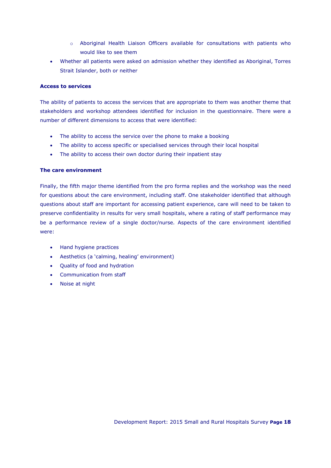- o Aboriginal Health Liaison Officers available for consultations with patients who would like to see them
- Whether all patients were asked on admission whether they identified as Aboriginal, Torres Strait Islander, both or neither

### **Access to services**

The ability of patients to access the services that are appropriate to them was another theme that stakeholders and workshop attendees identified for inclusion in the questionnaire. There were a number of different dimensions to access that were identified:

- The ability to access the service over the phone to make a booking
- The ability to access specific or specialised services through their local hospital
- The ability to access their own doctor during their inpatient stay

### **The care environment**

Finally, the fifth major theme identified from the pro forma replies and the workshop was the need for questions about the care environment, including staff. One stakeholder identified that although questions about staff are important for accessing patient experience, care will need to be taken to preserve confidentiality in results for very small hospitals, where a rating of staff performance may be a performance review of a single doctor/nurse. Aspects of the care environment identified were:

- Hand hygiene practices
- Aesthetics (a 'calming, healing' environment)
- Quality of food and hydration
- Communication from staff
- Noise at night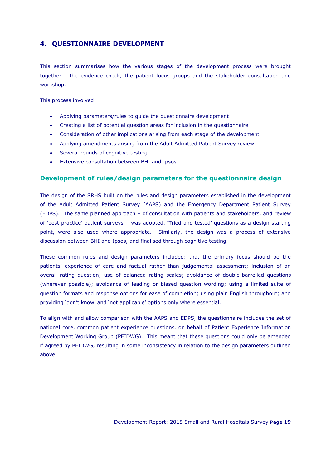## <span id="page-21-0"></span>**4. QUESTIONNAIRE DEVELOPMENT**

This section summarises how the various stages of the development process were brought together - the evidence check, the patient focus groups and the stakeholder consultation and workshop.

This process involved:

- Applying parameters/rules to guide the questionnaire development
- Creating a list of potential question areas for inclusion in the questionnaire
- Consideration of other implications arising from each stage of the development
- Applying amendments arising from the Adult Admitted Patient Survey review
- Several rounds of cognitive testing
- Extensive consultation between BHI and Ipsos

## **Development of rules/design parameters for the questionnaire design**

The design of the SRHS built on the rules and design parameters established in the development of the Adult Admitted Patient Survey (AAPS) and the Emergency Department Patient Survey (EDPS). The same planned approach – of consultation with patients and stakeholders, and review of 'best practice' patient surveys – was adopted. 'Tried and tested' questions as a design starting point, were also used where appropriate. Similarly, the design was a process of extensive discussion between BHI and Ipsos, and finalised through cognitive testing.

These common rules and design parameters included: that the primary focus should be the patients' experience of care and factual rather than judgemental assessment; inclusion of an overall rating question; use of balanced rating scales; avoidance of double-barrelled questions (wherever possible); avoidance of leading or biased question wording; using a limited suite of question formats and response options for ease of completion; using plain English throughout; and providing 'don't know' and 'not applicable' options only where essential.

To align with and allow comparison with the AAPS and EDPS, the questionnaire includes the set of national core, common patient experience questions, on behalf of Patient Experience Information Development Working Group (PEIDWG). This meant that these questions could only be amended if agreed by PEIDWG, resulting in some inconsistency in relation to the design parameters outlined above.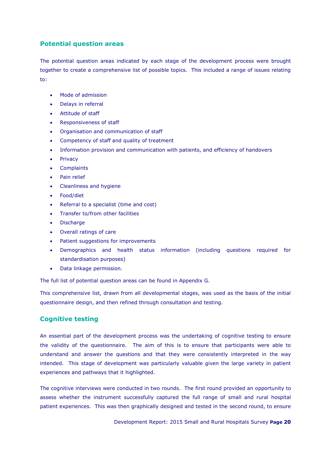## **Potential question areas**

The potential question areas indicated by each stage of the development process were brought together to create a comprehensive list of possible topics. This included a range of issues relating to:

- Mode of admission
- Delays in referral
- Attitude of staff
- Responsiveness of staff
- Organisation and communication of staff
- Competency of staff and quality of treatment
- Information provision and communication with patients, and efficiency of handovers
- **Privacy**
- **Complaints**
- Pain relief
- Cleanliness and hygiene
- Food/diet
- Referral to a specialist (time and cost)
- Transfer to/from other facilities
- **Discharge**
- Overall ratings of care
- Patient suggestions for improvements
- Demographics and health status information (including questions required for standardisation purposes)
- Data linkage permission.

The full list of potential question areas can be found in Appendix G.

This comprehensive list, drawn from all developmental stages, was used as the basis of the initial questionnaire design, and then refined through consultation and testing.

## **Cognitive testing**

An essential part of the development process was the undertaking of cognitive testing to ensure the validity of the questionnaire. The aim of this is to ensure that participants were able to understand and answer the questions and that they were consistently interpreted in the way intended. This stage of development was particularly valuable given the large variety in patient experiences and pathways that it highlighted.

The cognitive interviews were conducted in two rounds. The first round provided an opportunity to assess whether the instrument successfully captured the full range of small and rural hospital patient experiences. This was then graphically designed and tested in the second round, to ensure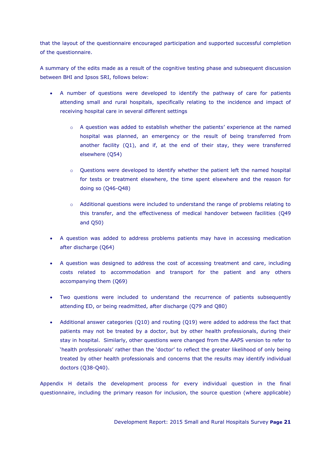that the layout of the questionnaire encouraged participation and supported successful completion of the questionnaire.

A summary of the edits made as a result of the cognitive testing phase and subsequent discussion between BHI and Ipsos SRI, follows below:

- A number of questions were developed to identify the pathway of care for patients attending small and rural hospitals, specifically relating to the incidence and impact of receiving hospital care in several different settings
	- $\circ$  A question was added to establish whether the patients' experience at the named hospital was planned, an emergency or the result of being transferred from another facility (Q1), and if, at the end of their stay, they were transferred elsewhere (Q54)
	- o Questions were developed to identify whether the patient left the named hospital for tests or treatment elsewhere, the time spent elsewhere and the reason for doing so (Q46-Q48)
	- o Additional questions were included to understand the range of problems relating to this transfer, and the effectiveness of medical handover between facilities (Q49 and Q50)
- A question was added to address problems patients may have in accessing medication after discharge (Q64)
- A question was designed to address the cost of accessing treatment and care, including costs related to accommodation and transport for the patient and any others accompanying them (Q69)
- Two questions were included to understand the recurrence of patients subsequently attending ED, or being readmitted, after discharge (Q79 and Q80)
- Additional answer categories (Q10) and routing (Q19) were added to address the fact that patients may not be treated by a doctor, but by other health professionals, during their stay in hospital. Similarly, other questions were changed from the AAPS version to refer to 'health professionals' rather than the 'doctor' to reflect the greater likelihood of only being treated by other health professionals and concerns that the results may identify individual doctors (Q38-Q40).

Appendix H details the development process for every individual question in the final questionnaire, including the primary reason for inclusion, the source question (where applicable)